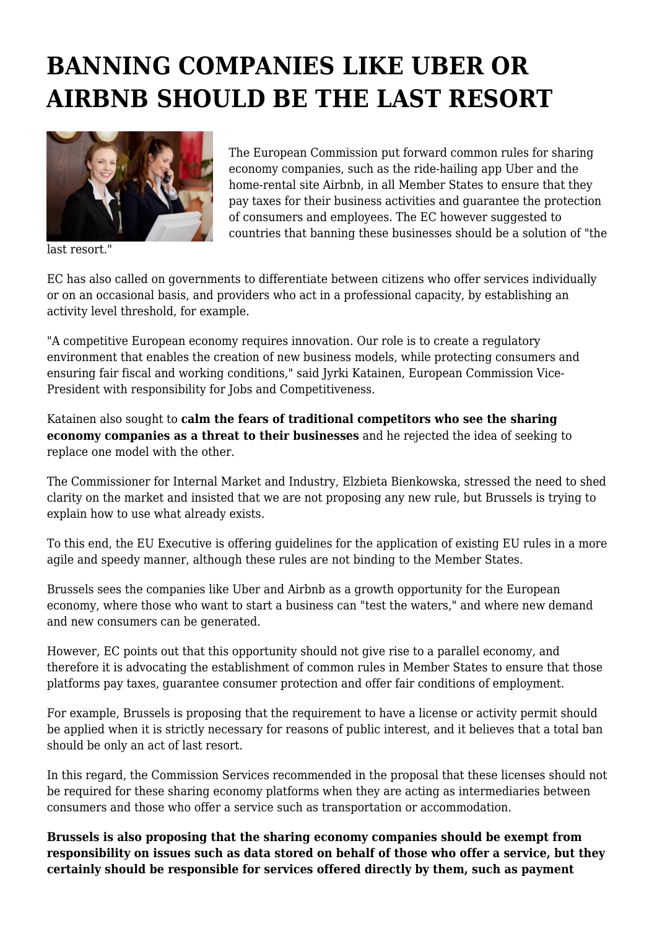## **BANNING COMPANIES LIKE UBER OR AIRBNB SHOULD BE THE LAST RESORT**



last resort."

The European Commission put forward common rules for sharing economy companies, such as the ride-hailing app Uber and the home-rental site Airbnb, in all Member States to ensure that they pay taxes for their business activities and guarantee the protection of consumers and employees. The EC however suggested to countries that banning these businesses should be a solution of "the

EC has also called on governments to differentiate between citizens who offer services individually or on an occasional basis, and providers who act in a professional capacity, by establishing an activity level threshold, for example.

"A competitive European economy requires innovation. Our role is to create a regulatory environment that enables the creation of new business models, while protecting consumers and ensuring fair fiscal and working conditions," said Jyrki Katainen, European Commission Vice-President with responsibility for Jobs and Competitiveness.

Katainen also sought to **calm the fears of traditional competitors who see the sharing economy companies as a threat to their businesses** and he rejected the idea of seeking to replace one model with the other.

The Commissioner for Internal Market and Industry, Elzbieta Bienkowska, stressed the need to shed clarity on the market and insisted that we are not proposing any new rule, but Brussels is trying to explain how to use what already exists.

To this end, the EU Executive is offering guidelines for the application of existing EU rules in a more agile and speedy manner, although these rules are not binding to the Member States.

Brussels sees the companies like Uber and Airbnb as a growth opportunity for the European economy, where those who want to start a business can "test the waters," and where new demand and new consumers can be generated.

However, EC points out that this opportunity should not give rise to a parallel economy, and therefore it is advocating the establishment of common rules in Member States to ensure that those platforms pay taxes, guarantee consumer protection and offer fair conditions of employment.

For example, Brussels is proposing that the requirement to have a license or activity permit should be applied when it is strictly necessary for reasons of public interest, and it believes that a total ban should be only an act of last resort.

In this regard, the Commission Services recommended in the proposal that these licenses should not be required for these sharing economy platforms when they are acting as intermediaries between consumers and those who offer a service such as transportation or accommodation.

**Brussels is also proposing that the sharing economy companies should be exempt from responsibility on issues such as data stored on behalf of those who offer a service, but they certainly should be responsible for services offered directly by them, such as payment**